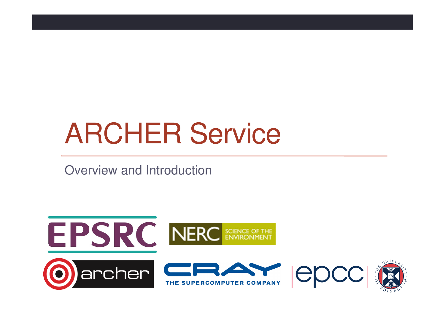# ARCHER Service

Overview and Introduction

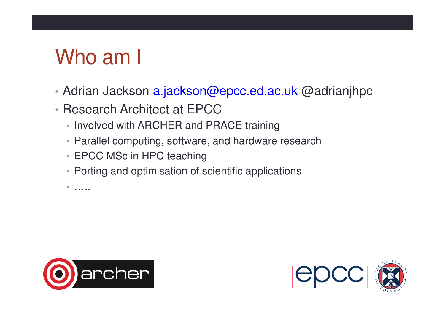## Who am I

- •- Adrian Jackson <u>a.jackson@epcc.ed.ac.uk</u> @adrianjhpc
- •• Research Architect at EPCC
	- Involved with ARCHER and PRACE training
	- Parallel computing, software, and hardware research
	- EPCC MSc in HPC teaching
	- Porting and optimisation of scientific applications

•…..



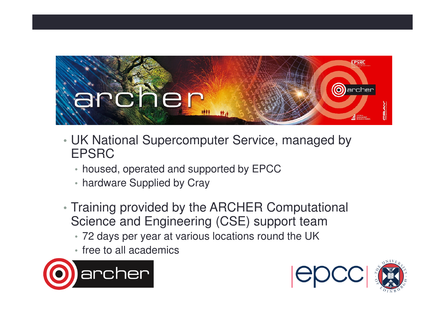

- • UK National Supercomputer Service, managed by EPSRC
	- housed, operated and supported by EPCC
	- hardware Supplied by Cray
- • Training provided by the ARCHER Computational Science and Engineering (CSE) support team
	- 72 days per year at various locations round the UK
	- free to all academics



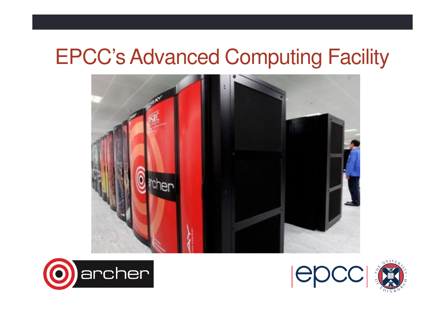#### EPCC's Advanced Computing Facility







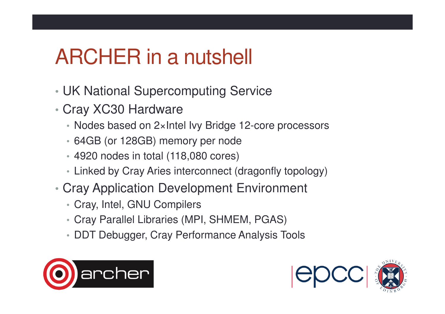## ARCHER in a nutshell

- •UK National Supercomputing Service
- • Cray XC30 Hardware
	- Nodes based on 2×Intel Ivy Bridge 12-core processors
	- 64GB (or 128GB) memory per node
	- 4920 nodes in total (118,080 cores)
	- Linked by Cray Aries interconnect (dragonfly topology)
- • Cray Application Development Environment
	- Cray, Intel, GNU Compilers
	- Cray Parallel Libraries (MPI, SHMEM, PGAS)
	- DDT Debugger, Cray Performance Analysis Tools



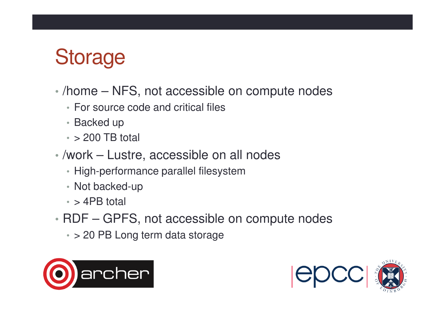### **Storage**

- • /home – NFS, not accessible on compute nodes
	- For source code and critical files
	- Backed up
	- $\textcolor{red}{\bullet}$  > 200 TB total
- /work Lustre, accessible on all nodes
	- High-performance parallel filesystem
	- Not backed-up
	- $\textcolor{red}{\bullet}$  > 4PB total
- • RDF – GPFS, not accessible on compute nodes
	- > 20 PB Long term data storage



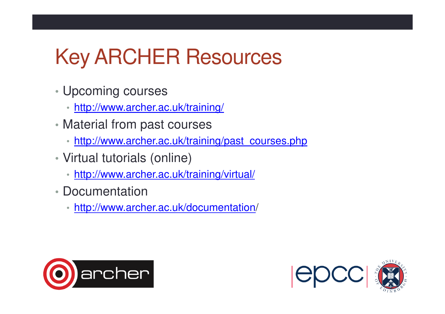## Key ARCHER Resources

- Upcoming courses
	- http://www.archer.ac.uk/training/
- Material from past courses
	- http://www.archer.ac.uk/training/past\_courses.php
- Virtual tutorials (online)
	- http://www.archer.ac.uk/training/virtual/
- Documentation
	- http://www.archer.ac.uk/documentation/



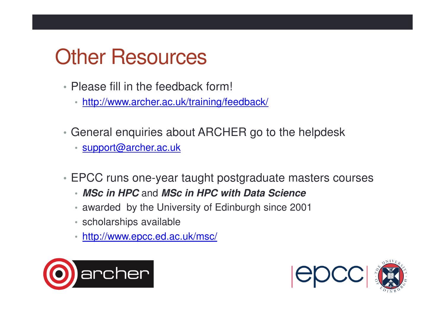#### Other Resources

- Please fill in the feedback form!
	- http://www.archer.ac.uk/training/feedback/
- General enquiries about ARCHER go to the helpdesk
	- support@archer.ac.uk
- EPCC runs one-year taught postgraduate masters courses
	- **MSc in HPC** and **MSc in HPC with Data Science**
	- awarded by the University of Edinburgh since 2001
	- scholarships available
	- http://www.epcc.ed.ac.uk/msc/



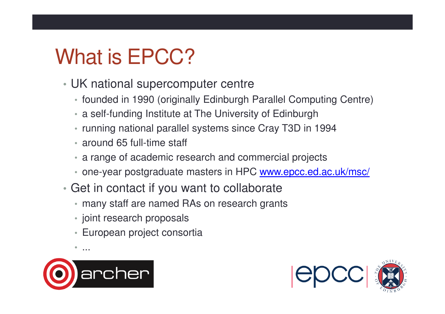## What is **EPCC?**

- UK national supercomputer centre
	- founded in 1990 (originally Edinburgh Parallel Computing Centre)
	- a self-funding Institute at The University of Edinburgh
	- running national parallel systems since Cray T3D in 1994
	- around 65 full-time staff
	- a range of academic research and commercial project s
	- one-year postgraduate masters in HPC <u>www.epcc.ed.ac.uk/msc/</u>
- Get in contact if you want to collaborate
	- many staff are named RAs on research grants
	- joint research proposals
	- European project consortia



 $\bullet$ ...

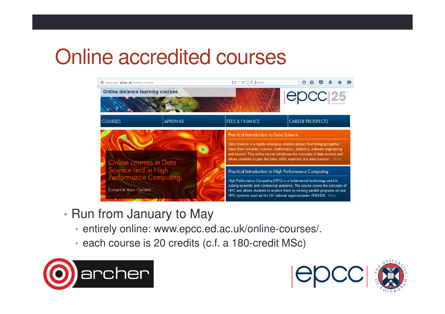#### Online accredited courses



- Run from January to May
	- entirely online: www.epcc.ed.ac.uk/online-courses/.
	- each course is 20 credits (c.f. a 180-credit MSc)



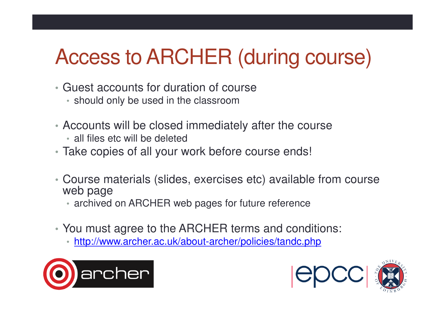# Access to ARCHER (during course)

- Guest accounts for duration of course
	- should only be used in the classroom
- Accounts will be closed immediately after the course
	- all files etc will be deleted
- Take copies of all your work before course ends!
- Course materials (slides, exercises etc) available from course web page
	- archived on ARCHER web pages for future reference
- You must agree to the ARCHER terms and conditions:
	- http://www.archer.ac.uk/about-archer/policies/tandc.php